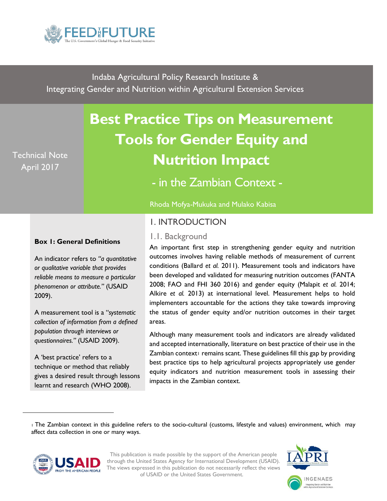

Indaba Agricultural Policy Research Institute & Integrating Gender and Nutrition within Agricultural Extension Services

# Technical Note April 2017

# **Best Practice Tips on Measurement Tools for Gender Equity and Nutrition Impact**

- in the Zambian Context -

Rhoda Mofya-Mukuka and Mulako Kabisa

# 1. INTRODUCTION

# 1.1. Background

#### **Box 1: General Definitions**

An indicator refers to *"a quantitative or qualitative variable that provides reliable means to measure a particular phenomenon or attribute."* (USAID 2009).

A measurement tool is a "*systematic collection of information from a defined population through interviews or questionnaires."* (USAID 2009).

A 'best practice' refers to a technique or method that reliably gives a desired result through lessons learnt and research (WHO 2008).

An important first step in strengthening gender equity and nutrition outcomes involves having reliable methods of measurement of current conditions (Ballard *et al.* 2011). Measurement tools and indicators have been developed and validated for measuring nutrition outcomes (FANTA 2008; FAO and FHI 360 2016) and gender equity (Malapit *et al.* 2014; Alkire *et al.* 2013) at international level. Measurement helps to hold implementers accountable for the actions they take towards improving the status of gender equity and/or nutrition outcomes in their target areas.

Although many measurement tools and indicators are already validated and accepted internationally, literature on best practice of their use in the Zambian context $\overline{\phantom{a}}$  remains scant. These guidelines fill this gap by providing best practice tips to help agricultural projects appropriately use gender equity indicators and nutrition measurement tools in assessing their impacts in the Zambian context.

<sup>1</sup> The Zambian context in this guideline refers to the socio-cultural (customs, lifestyle and values) environment, which may affect data collection in one or many ways.



<span id="page-0-0"></span> $\overline{a}$ 

This publication is made possible by the support of the American people through the United States Agency for International Development (USAID). The views expressed in this publication do not necessarily reflect the views of USAID or the United States Government.

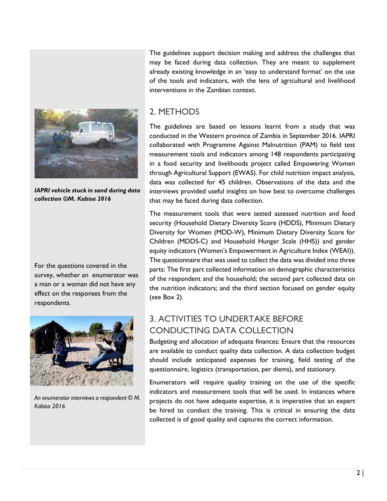

*IAPRI vehicle stuck in sand during data collection ©M. Kabisa 2016*

For the questions covered in the survey, whether an enumerator was a man or a woman did not have any effect on the responses from the respondents.



*An enumerator interviews a respondent © M. Kabisa 2016*

The guidelines support decision making and address the challenges that may be faced during data collection. They are meant to supplement already existing knowledge in an 'easy to understand format' on the use of the tools and indicators, with the lens of agricultural and livelihood interventions in the Zambian context.

# 2. METHODS

The guidelines are based on lessons learnt from a study that was conducted in the Western province of Zambia in September 2016. IAPRI collaborated with Programme Against Malnutrition (PAM) to field test measurement tools and indicators among 148 respondents participating in a food security and livelihoods project called Empowering Women through Agricultural Support (EWAS). For child nutrition impact analysis, data was collected for 45 children. Observations of the data and the interviews provided useful insights on how best to overcome challenges that may be faced during data collection.

The measurement tools that were tested assessed nutrition and food security (Household Dietary Diversity Score (HDDS), Minimum Dietary Diversity for Women (MDD-W), Minimum Dietary Diversity Score for Children (MDDS-C) and Household Hunger Scale (HHS)) and gender equity indicators (Women's Empowerment in Agriculture Index (WEAI)). The questionnaire that was used to collect the data was divided into three parts: The first part collected information on demographic characteristics of the respondent and the household; the second part collected data on the nutrition indicators; and the third section focused on gender equity (see Box 2).

# 3. ACTIVITIES TO UNDERTAKE BEFORE CONDUCTING DATA COLLECTION

Budgeting and allocation of adequate finances: Ensure that the resources are available to conduct quality data collection. A data collection budget should include anticipated expenses for training, field testing of the questionnaire, logistics (transportation, per diems), and stationary.

Enumerators will require quality training on the use of the specific indicators and measurement tools that will be used. In instances where projects do not have adequate expertise, it is imperative that an expert be hired to conduct the training. This is critical in ensuring the data collected is of good quality and captures the correct information.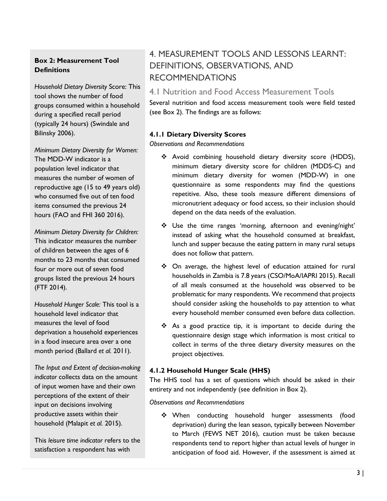#### **Box 2: Measurement Tool Definitions**

*Household Dietary Diversity* Score: This tool shows the number of food groups consumed within a household during a specified recall period (typically 24 hours) (Swindale and Bilinsky 2006).

*Minimum Dietary Diversity for Women:* The MDD-W indicator is a population level indicator that measures the number of women of reproductive age (15 to 49 years old) who consumed five out of ten food items consumed the previous 24 hours (FAO and FHI 360 2016).

*Minimum Dietary Diversity for Children:* This indicator measures the number of children between the ages of 6 months to 23 months that consumed four or more out of seven food groups listed the previous 24 hours (FTF 2014).

*Household Hunger Scale:* This tool is a household level indicator that measures the level of food deprivation a household experiences in a food insecure area over a one month period (Ballard *et al.* 2011).

*The Input and Extent of decision-making indicator* collects data on the amount of input women have and their own perceptions of the extent of their input on decisions involving productive assets within their household (Malapit *et al.* 2015).

This *leisure time indicator* refers to the satisfaction a respondent has with

# 4. MEASUREMENT TOOLS AND LESSONS LEARNT: DEFINITIONS, OBSERVATIONS, AND RECOMMENDATIONS

### 4.1 Nutrition and Food Access Measurement Tools

Several nutrition and food access measurement tools were field tested (see Box 2). The findings are as follows:

#### **4.1.1 Dietary Diversity Scores**

*Observations and Recommendations*

- Avoid combining household dietary diversity score (HDDS), minimum dietary diversity score for children (MDDS-C) and minimum dietary diversity for women (MDD-W) in one questionnaire as some respondents may find the questions repetitive. Also, these tools measure different dimensions of micronutrient adequacy or food access, so their inclusion should depend on the data needs of the evaluation.
- Use the time ranges 'morning, afternoon and evening/night' instead of asking what the household consumed at breakfast, lunch and supper because the eating pattern in many rural setups does not follow that pattern.
- On average, the highest level of education attained for rural households in Zambia is 7.8 years (CSO/MoA/IAPRI 2015). Recall of all meals consumed at the household was observed to be problematic for many respondents. We recommend that projects should consider asking the households to pay attention to what every household member consumed even before data collection.
- ◆ As a good practice tip, it is important to decide during the questionnaire design stage which information is most critical to collect in terms of the three dietary diversity measures on the project objectives.

#### **4.1.2 Household Hunger Scale (HHS)**

The HHS tool has a set of questions which should be asked in their entirety and not independently (see definition in Box 2).

#### *Observations and Recommendations*

 When conducting household hunger assessments (food deprivation) during the lean season, typically between November to March (FEWS NET 2016), caution must be taken because respondents tend to report higher than actual levels of hunger in anticipation of food aid. However, if the assessment is aimed at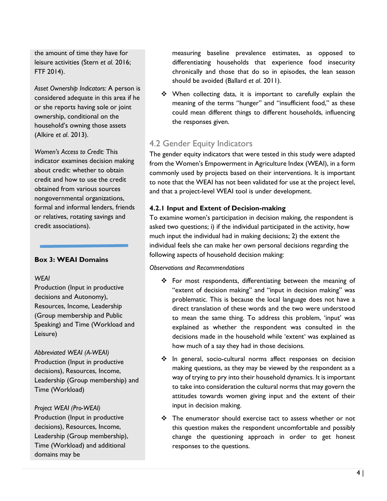the amount of time they have for leisure activities (Stern *et al.* 2016; FTF 2014).

*Asset Ownership Indicators:* A person is considered adequate in this area if he or she reports having sole or joint ownership, conditional on the household's owning those assets (Alkire *et al*. 2013).

*Women's Access to Credit:* This indicator examines decision making about credit: whether to obtain credit and how to use the credit obtained from various sources nongovernmental organizations, formal and informal lenders, friends or relatives, rotating savings and credit associations).

#### **Box 3: WEAI Domains**

#### *WEAI*

Production (Input in productive decisions and Autonomy), Resources, Income, Leadership (Group membership and Public Speaking) and Time (Workload and Leisure)

*Abbreviated WEAI (A-WEAI)* Production (Input in productive decisions), Resources, Income, Leadership (Group membership) and Time (Workload)

*Project WEAI (Pro-WEAI)* Production (Input in productive decisions), Resources, Income, Leadership (Group membership), Time (Workload) and additional domains may be

measuring baseline prevalence estimates, as opposed to differentiating households that experience food insecurity chronically and those that do so in episodes, the lean season should be avoided (Ballard *et al*. 2011).

• When collecting data, it is important to carefully explain the meaning of the terms "hunger" and "insufficient food," as these could mean different things to different households, influencing the responses given.

# 4.2 Gender Equity Indicators

The gender equity indicators that were tested in this study were adapted from the Women's Empowerment in Agriculture Index (WEAI), in a form commonly used by projects based on their interventions. It is important to note that the WEAI has not been validated for use at the project level, and that a project-level WEAI tool is under development.

#### **4.2.1 Input and Extent of Decision-making**

To examine women's participation in decision making, the respondent is asked two questions; i) if the individual participated in the activity, how much input the individual had in making decisions; 2) the extent the individual feels she can make her own personal decisions regarding the following aspects of household decision making:

#### *Observations and Recommendations*

- For most respondents, differentiating between the meaning of "extent of decision making" and "input in decision making" was problematic. This is because the local language does not have a direct translation of these words and the two were understood to mean the same thing. To address this problem, 'input' was explained as whether the respondent was consulted in the decisions made in the household while 'extent' was explained as how much of a say they had in those decisions.
- ❖ In general, socio-cultural norms affect responses on decision making questions, as they may be viewed by the respondent as a way of trying to pry into their household dynamics. It is important to take into consideration the cultural norms that may govern the attitudes towards women giving input and the extent of their input in decision making.
- $\cdot \cdot$  The enumerator should exercise tact to assess whether or not this question makes the respondent uncomfortable and possibly change the questioning approach in order to get honest responses to the questions.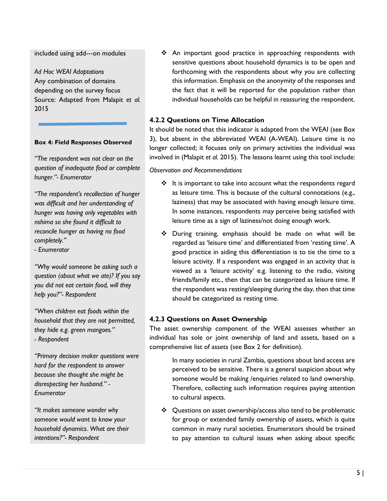included using add--‐on modules

*Ad Hoc WEAI Adaptations* Any combination of domains depending on the survey focus Source: Adapted from Malapit *et al.* 2015

#### **Box 4: Field Responses Observed**

*"The respondent was not clear on the question of inadequate food or complete hunger."- Enumerator*

*"The respondent's recollection of hunger was difficult and her understanding of hunger was having only vegetables with nshima so she found it difficult to reconcile hunger as having no food completely."*

*- Enumerator*

*"Why would someone be asking such a question (about what we ate)? If you say you did not eat certain food, will they help you?"- Respondent*

*"When children eat foods within the household that they are not permitted, they hide e.g. green mangoes." - Respondent*

*"Primary decision maker questions were hard for the respondent to answer because she thought she might be disrespecting her husband." - Enumerator*

*"It makes someone wonder why someone would want to know your household dynamics. What are their intentions?"- Respondent*

 An important good practice in approaching respondents with sensitive questions about household dynamics is to be open and forthcoming with the respondents about why you are collecting this information. Emphasis on the anonymity of the responses and the fact that it will be reported for the population rather than individual households can be helpful in reassuring the respondent.

#### **4.2.2 Questions on Time Allocation**

It should be noted that this indicator is adapted from the WEAI (see Box 3), but absent in the abbreviated WEAI (A-WEAI). Leisure time is no longer collected; it focuses only on primary activities the individual was involved in (Malapit *et al.* 2015). The lessons learnt using this tool include:

#### *Observation and Recommendations*

- $\cdot \cdot$  It is important to take into account what the respondents regard as leisure time. This is because of the cultural connotations (e.g., laziness) that may be associated with having enough leisure time. In some instances, respondents may perceive being satisfied with leisure time as a sign of laziness/not doing enough work.
- During training, emphasis should be made on what will be regarded as 'leisure time' and differentiated from 'resting time'. A good practice in aiding this differentiation is to tie the time to a leisure activity. If a respondent was engaged in an activity that is viewed as a 'leisure activity' e.g. listening to the radio, visiting friends/family etc., then that can be categorized as leisure time. If the respondent was resting/sleeping during the day, then that time should be categorized as resting time.

#### **4.2.3 Questions on Asset Ownership**

The asset ownership component of the WEAI assesses whether an individual has sole or joint ownership of land and assets, based on a comprehensive list of assets (see Box 2 for definition).

> In many societies in rural Zambia, questions about land access are perceived to be sensitive. There is a general suspicion about why someone would be making /enquiries related to land ownership. Therefore, collecting such information requires paying attention to cultural aspects.

 Questions on asset ownership/access also tend to be problematic for group or extended family ownership of assets, which is quite common in many rural societies. Enumerators should be trained to pay attention to cultural issues when asking about specific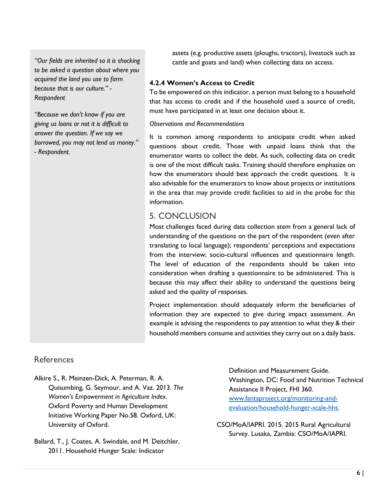*"Our fields are inherited so it is shocking to be asked a question about where you acquired the land you use to farm because that is our culture." - Respondent*

*"Because we don't know if you are giving us loans or not it is difficult to answer the question. If we say we borrowed, you may not lend us money." - Respondent.*

assets (e.g. productive assets (ploughs, tractors), livestock such as cattle and goats and land) when collecting data on access.

#### **4.2.4 Women's Access to Credit**

To be empowered on this indicator, a person must belong to a household that has access to credit and if the household used a source of credit, must have participated in at least one decision about it.

#### *Observations and Recommendations*

It is common among respondents to anticipate credit when asked questions about credit. Those with unpaid loans think that the enumerator wants to collect the debt. As such, collecting data on credit is one of the most difficult tasks. Training should therefore emphasize on how the enumerators should best approach the credit questions. It is also advisable for the enumerators to know about projects or institutions in the area that may provide credit facilities to aid in the probe for this information.

# 5. CONCLUSION

Most challenges faced during data collection stem from a general lack of understanding of the questions on the part of the respondent (even after translating to local language); respondents' perceptions and expectations from the interview; socio-cultural influences and questionnaire length. The level of education of the respondents should be taken into consideration when drafting a questionnaire to be administered. This is because this may affect their ability to understand the questions being asked and the quality of responses.

Project implementation should adequately inform the beneficiaries of information they are expected to give during impact assessment. An example is advising the respondents to pay attention to what they & their household members consume and activities they carry out on a daily basis.

## References

- Alkire S., R. Meinzen-Dick, A. Peterman, R. A. Quisumbing, G. Seymour, and A. Vaz. 2013. *The Women's Empowerment in Agriculture Index*. Oxford Poverty and Human Development Initiative Working Paper No.58. Oxford, UK: University of Oxford.
- Ballard, T., J. Coates, A. Swindale, and M. Deitchler. 2011. Household Hunger Scale: Indicator

Definition and Measurement Guide. Washington, DC: Food and Nutrition Technical Assistance II Project, FHI 360. www.fantaproject.org/monitoring-andevaluation/household-hunger-scale-hhs.

CSO/MoA/IAPRI. 2015. 2015 Rural Agricultural Survey. Lusaka, Zambia: CSO/MoA/IAPRI.